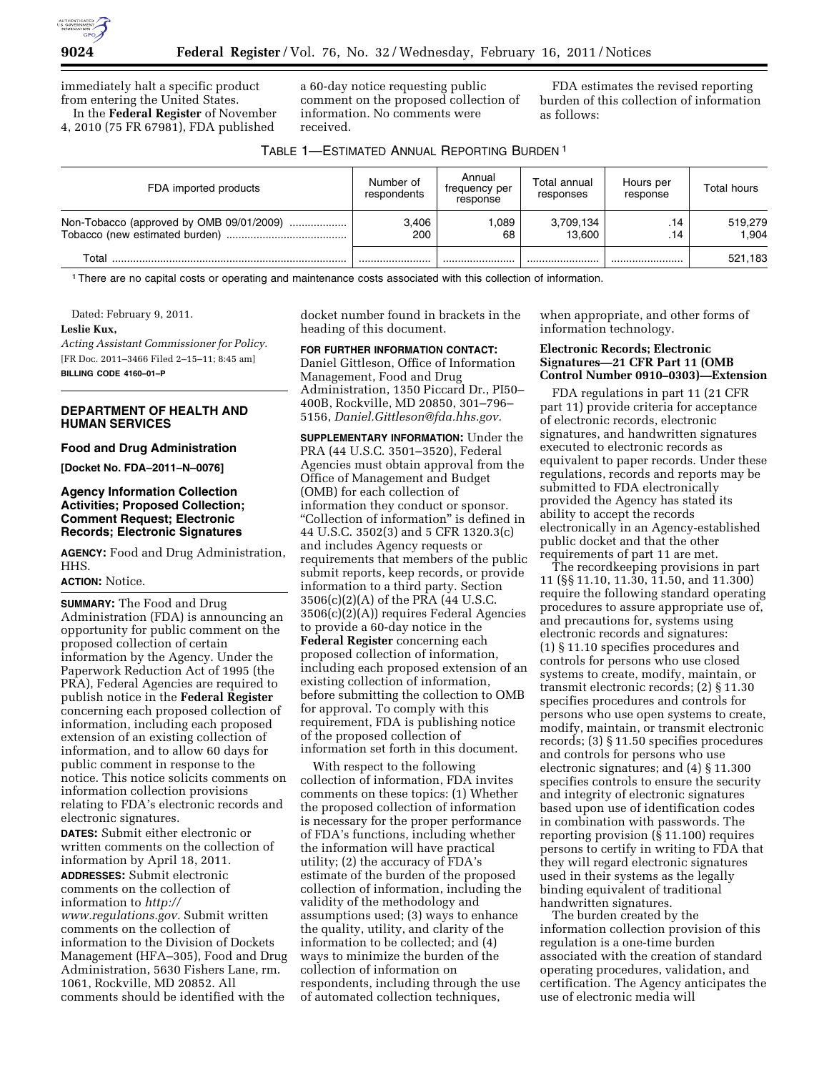

immediately halt a specific product from entering the United States. In the **Federal Register** of November

4, 2010 (75 FR 67981), FDA published

a 60-day notice requesting public comment on the proposed collection of information. No comments were received.

FDA estimates the revised reporting burden of this collection of information as follows:

| TABLE 1—ESTIMATED ANNUAL REPORTING BURDEN 1 |  |
|---------------------------------------------|--|
|---------------------------------------------|--|

| FDA imported products                    | Number of<br>respondents | Annual<br>frequency per<br>response | Total annual<br>responses | Hours per<br>response | Total hours      |
|------------------------------------------|--------------------------|-------------------------------------|---------------------------|-----------------------|------------------|
| Non-Tobacco (approved by OMB 09/01/2009) | 3.406<br>200             | 1.089<br>68                         | 3,709,134<br>13.600       | .14<br>.14            | 519,279<br>1.904 |
| Total                                    |                          |                                     |                           |                       | 521,183          |

1There are no capital costs or operating and maintenance costs associated with this collection of information.

Dated: February 9, 2011.

## **Leslie Kux,**

*Acting Assistant Commissioner for Policy.*  [FR Doc. 2011–3466 Filed 2–15–11; 8:45 am] **BILLING CODE 4160–01–P** 

# **DEPARTMENT OF HEALTH AND HUMAN SERVICES**

## **Food and Drug Administration**

**[Docket No. FDA–2011–N–0076]** 

# **Agency Information Collection Activities; Proposed Collection; Comment Request; Electronic Records; Electronic Signatures**

**AGENCY:** Food and Drug Administration, HHS.

# **ACTION:** Notice.

**SUMMARY:** The Food and Drug Administration (FDA) is announcing an opportunity for public comment on the proposed collection of certain information by the Agency. Under the Paperwork Reduction Act of 1995 (the PRA), Federal Agencies are required to publish notice in the **Federal Register**  concerning each proposed collection of information, including each proposed extension of an existing collection of information, and to allow 60 days for public comment in response to the notice. This notice solicits comments on information collection provisions relating to FDA's electronic records and electronic signatures.

**DATES:** Submit either electronic or written comments on the collection of information by April 18, 2011. **ADDRESSES:** Submit electronic comments on the collection of information to *[http://](http://www.regulations.gov) [www.regulations.gov.](http://www.regulations.gov)* Submit written comments on the collection of information to the Division of Dockets Management (HFA–305), Food and Drug Administration, 5630 Fishers Lane, rm. 1061, Rockville, MD 20852. All comments should be identified with the

docket number found in brackets in the heading of this document.

#### **FOR FURTHER INFORMATION CONTACT:**

Daniel Gittleson, Office of Information Management, Food and Drug Administration, 1350 Piccard Dr., PI50– 400B, Rockville, MD 20850, 301–796– 5156, *[Daniel.Gittleson@fda.hhs.gov.](mailto:Daniel.Gittleson@fda.hhs.gov)* 

**SUPPLEMENTARY INFORMATION:** Under the PRA (44 U.S.C. 3501–3520), Federal Agencies must obtain approval from the Office of Management and Budget (OMB) for each collection of information they conduct or sponsor. ''Collection of information'' is defined in 44 U.S.C. 3502(3) and 5 CFR 1320.3(c) and includes Agency requests or requirements that members of the public submit reports, keep records, or provide information to a third party. Section 3506(c)(2)(A) of the PRA (44 U.S.C. 3506(c)(2)(A)) requires Federal Agencies to provide a 60-day notice in the **Federal Register** concerning each proposed collection of information, including each proposed extension of an existing collection of information, before submitting the collection to OMB for approval. To comply with this requirement, FDA is publishing notice of the proposed collection of information set forth in this document.

With respect to the following collection of information, FDA invites comments on these topics: (1) Whether the proposed collection of information is necessary for the proper performance of FDA's functions, including whether the information will have practical utility; (2) the accuracy of FDA's estimate of the burden of the proposed collection of information, including the validity of the methodology and assumptions used; (3) ways to enhance the quality, utility, and clarity of the information to be collected; and (4) ways to minimize the burden of the collection of information on respondents, including through the use of automated collection techniques,

when appropriate, and other forms of information technology.

# **Electronic Records; Electronic Signatures—21 CFR Part 11 (OMB Control Number 0910–0303)—Extension**

FDA regulations in part 11 (21 CFR part 11) provide criteria for acceptance of electronic records, electronic signatures, and handwritten signatures executed to electronic records as equivalent to paper records. Under these regulations, records and reports may be submitted to FDA electronically provided the Agency has stated its ability to accept the records electronically in an Agency-established public docket and that the other requirements of part 11 are met.

The recordkeeping provisions in part 11 (§§ 11.10, 11.30, 11.50, and 11.300) require the following standard operating procedures to assure appropriate use of, and precautions for, systems using electronic records and signatures: (1) § 11.10 specifies procedures and controls for persons who use closed systems to create, modify, maintain, or transmit electronic records; (2) § 11.30 specifies procedures and controls for persons who use open systems to create, modify, maintain, or transmit electronic records; (3) § 11.50 specifies procedures and controls for persons who use electronic signatures; and (4) § 11.300 specifies controls to ensure the security and integrity of electronic signatures based upon use of identification codes in combination with passwords. The reporting provision (§ 11.100) requires persons to certify in writing to FDA that they will regard electronic signatures used in their systems as the legally binding equivalent of traditional handwritten signatures.

The burden created by the information collection provision of this regulation is a one-time burden associated with the creation of standard operating procedures, validation, and certification. The Agency anticipates the use of electronic media will